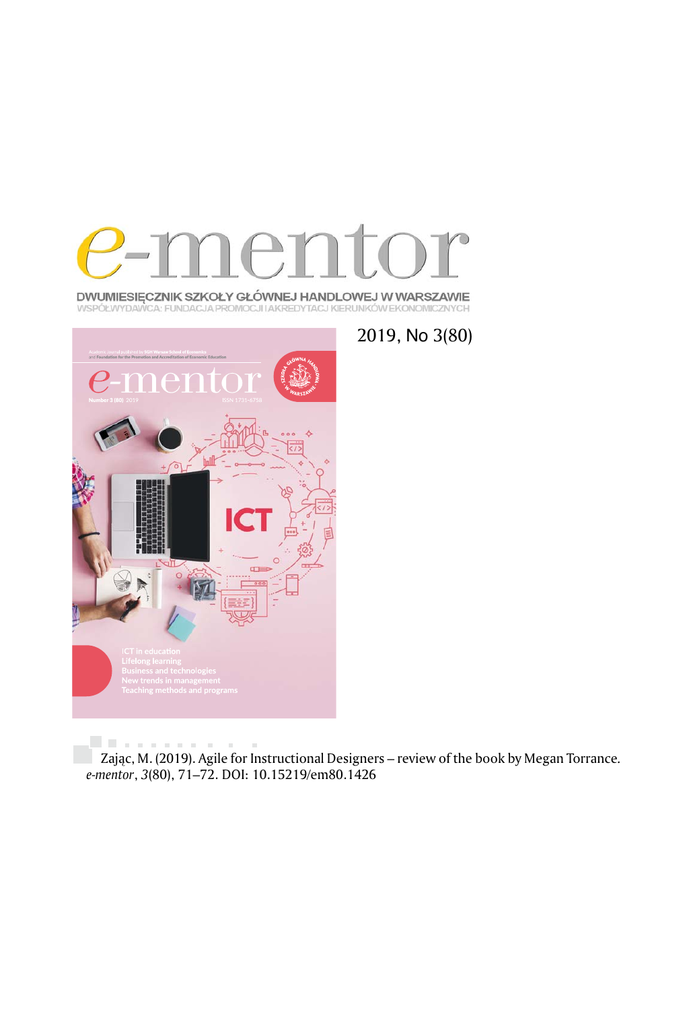

**DWUMIESIĘCZNIK SZKOŁY GŁÓWNEJ HANDLOWEJ W WARSZAWIE**<br>WSPÓŁWYDAWCA: FUNDACJA PROMOCJI IAKREDYTACJ KIERUNKÓW EKONOMICZNYCH



2019, No 3(80)

Zając, M. (2019). Agile for Instructional Designers – review of the book by Megan Torrance*. e-mentor*, *3*(80), 71–72. DOI: 10.15219/em80.1426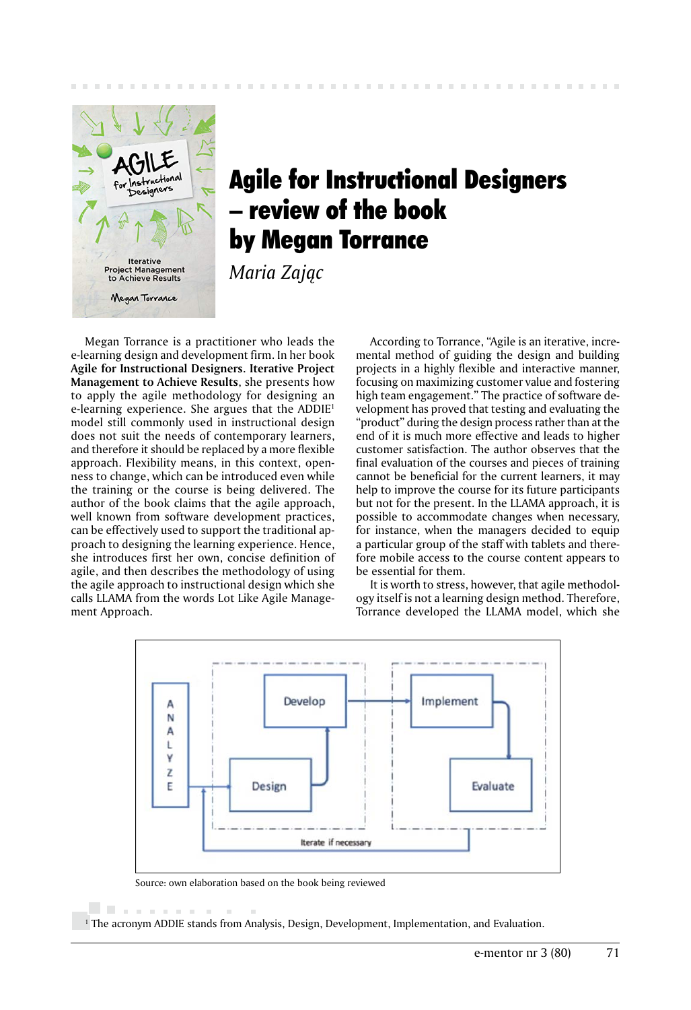

## Agile for Instructional Designers – review of the book by Megan Torrance

*Maria Zając*

Megan Torrance is a practitioner who leads the e-learning design and development firm. In her book **Agile for Instructional Designers. Iterative Project Management to Achieve Results**, she presents how to apply the agile methodology for designing an e-learning experience. She argues that the ADDIE1 model still commonly used in instructional design does not suit the needs of contemporary learners, and therefore it should be replaced by a more flexible approach. Flexibility means, in this context, openness to change, which can be introduced even while the training or the course is being delivered. The author of the book claims that the agile approach, well known from software development practices, can be effectively used to support the traditional approach to designing the learning experience. Hence, she introduces first her own, concise definition of agile, and then describes the methodology of using the agile approach to instructional design which she calls LLAMA from the words Lot Like Agile Management Approach.

According to Torrance, "Agile is an iterative, incremental method of guiding the design and building projects in a highly flexible and interactive manner, focusing on maximizing customer value and fostering high team engagement." The practice of software development has proved that testing and evaluating the "product" during the design process rather than at the end of it is much more effective and leads to higher customer satisfaction. The author observes that the final evaluation of the courses and pieces of training cannot be beneficial for the current learners, it may help to improve the course for its future participants but not for the present. In the LLAMA approach, it is possible to accommodate changes when necessary, for instance, when the managers decided to equip a particular group of the staff with tablets and therefore mobile access to the course content appears to be essential for them.

It is worth to stress, however, that agile methodology itself is not a learning design method. Therefore, Torrance developed the LLAMA model, which she



Source: own elaboration based on the book being reviewed

. . . . . . . . .

1 The acronym ADDIE stands from Analysis, Design, Development, Implementation, and Evaluation.